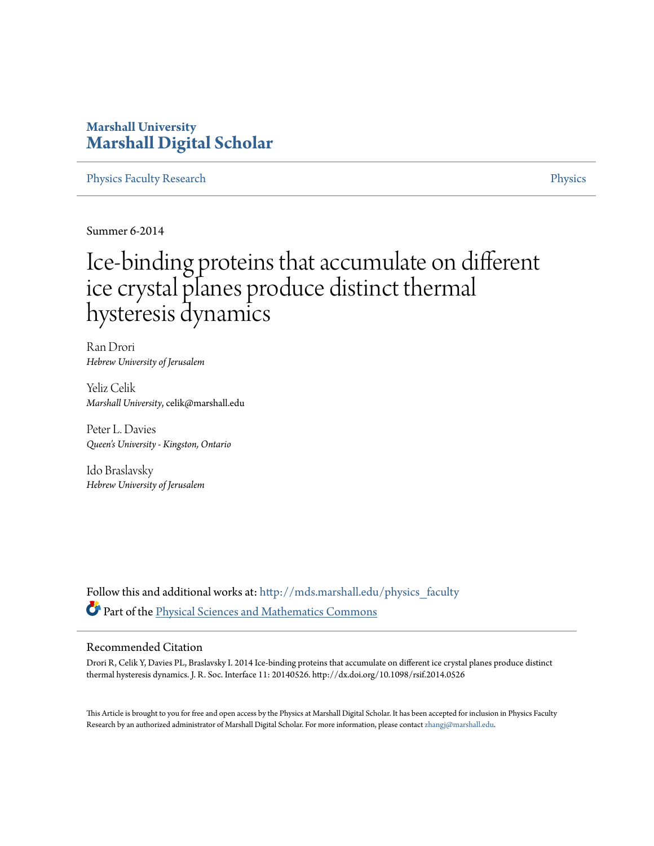# **Marshall University [Marshall Digital Scholar](http://mds.marshall.edu?utm_source=mds.marshall.edu%2Fphysics_faculty%2F39&utm_medium=PDF&utm_campaign=PDFCoverPages)**

[Physics Faculty Research](http://mds.marshall.edu/physics_faculty?utm_source=mds.marshall.edu%2Fphysics_faculty%2F39&utm_medium=PDF&utm_campaign=PDFCoverPages) **[Physics](http://mds.marshall.edu/physics?utm_source=mds.marshall.edu%2Fphysics_faculty%2F39&utm_medium=PDF&utm_campaign=PDFCoverPages)** Physics **Physics** 

Summer 6-2014

# Ice-binding proteins that accumulate on different ice crystal planes produce distinct thermal hysteresis dynamics

Ran Drori *Hebrew University of Jerusalem*

Yeliz Celik *Marshall University*, celik@marshall.edu

Peter L. Davies *Queen's University - Kingston, Ontario*

Ido Braslavsky *Hebrew University of Jerusalem*

Follow this and additional works at: [http://mds.marshall.edu/physics\\_faculty](http://mds.marshall.edu/physics_faculty?utm_source=mds.marshall.edu%2Fphysics_faculty%2F39&utm_medium=PDF&utm_campaign=PDFCoverPages) Part of the [Physical Sciences and Mathematics Commons](http://network.bepress.com/hgg/discipline/114?utm_source=mds.marshall.edu%2Fphysics_faculty%2F39&utm_medium=PDF&utm_campaign=PDFCoverPages)

#### Recommended Citation

Drori R, Celik Y, Davies PL, Braslavsky I. 2014 Ice-binding proteins that accumulate on different ice crystal planes produce distinct thermal hysteresis dynamics. J. R. Soc. Interface 11: 20140526. http://dx.doi.org/10.1098/rsif.2014.0526

This Article is brought to you for free and open access by the Physics at Marshall Digital Scholar. It has been accepted for inclusion in Physics Faculty Research by an authorized administrator of Marshall Digital Scholar. For more information, please contact [zhangj@marshall.edu.](mailto:zhangj@marshall.edu)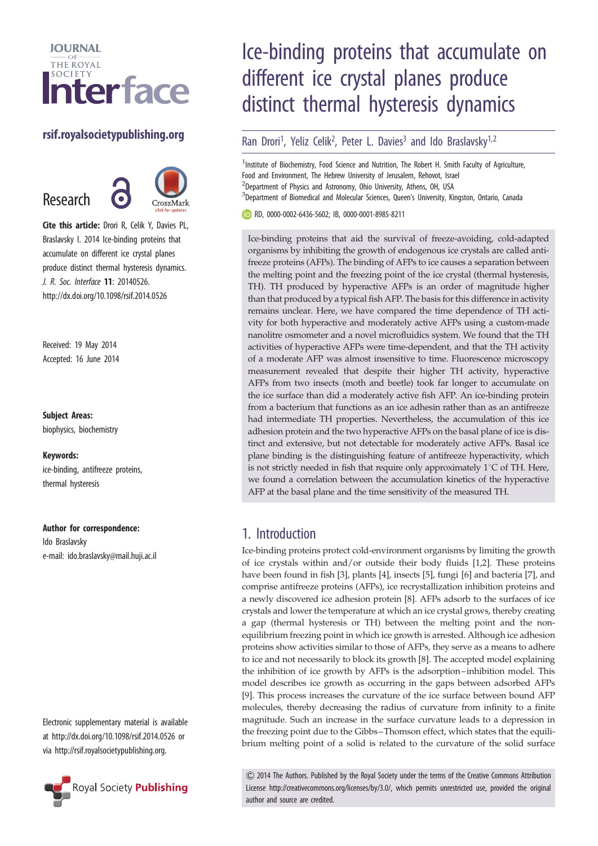

## rsif.royalsocietypublishing.org

Research



Cite this article: Drori R, Celik Y, Davies PL, Braslavsky I. 2014 Ice-binding proteins that accumulate on different ice crystal planes produce distinct thermal hysteresis dynamics. J. R. Soc. Interface 11: 20140526. http://dx.doi.org/10.1098/rsif.2014.0526

Received: 19 May 2014 Accepted: 16 June 2014

#### Subject Areas:

biophysics, biochemistry

#### Keywords:

ice-binding, antifreeze proteins, thermal hysteresis

#### Author for correspondence:

Ido Braslavsky e-mail: [ido.braslavsky@mail.huji.ac.il](mailto:ido.braslavsky@mail.huji.ac.il)

Electronic supplementary material is available at<http://dx.doi.org/10.1098/rsif.2014.0526> or via<http://rsif.royalsocietypublishing.org>.



# Ice-binding proteins that accumulate on different ice crystal planes produce distinct thermal hysteresis dynamics

### Ran Drori<sup>1</sup>, Yeliz Celik<sup>2</sup>, Peter L. Davies<sup>3</sup> and Ido Braslavsky<sup>1,2</sup>

<sup>1</sup>Institute of Biochemistry, Food Science and Nutrition, The Robert H. Smith Faculty of Agriculture, Food and Environment, The Hebrew University of Jerusalem, Rehovot, Israel <sup>2</sup>Department of Physics and Astronomy, Ohio University, Athens, OH, USA <sup>3</sup>Department of Biomedical and Molecular Sciences, Queen's University, Kingston, Ontario, Canada

RD, [0000-0002-6436-5602](https://orcid.org/0000-0002-6436-5602); IB, [0000-0001-8985-8211](https://orcid.org/0000-0001-8985-8211)

Ice-binding proteins that aid the survival of freeze-avoiding, cold-adapted organisms by inhibiting the growth of endogenous ice crystals are called antifreeze proteins (AFPs). The binding of AFPs to ice causes a separation between the melting point and the freezing point of the ice crystal (thermal hysteresis, TH). TH produced by hyperactive AFPs is an order of magnitude higher than that produced by a typical fish AFP. The basis for this difference in activity remains unclear. Here, we have compared the time dependence of TH activity for both hyperactive and moderately active AFPs using a custom-made nanolitre osmometer and a novel microfluidics system. We found that the TH activities of hyperactive AFPs were time-dependent, and that the TH activity of a moderate AFP was almost insensitive to time. Fluorescence microscopy measurement revealed that despite their higher TH activity, hyperactive AFPs from two insects (moth and beetle) took far longer to accumulate on the ice surface than did a moderately active fish AFP. An ice-binding protein from a bacterium that functions as an ice adhesin rather than as an antifreeze had intermediate TH properties. Nevertheless, the accumulation of this ice adhesion protein and the two hyperactive AFPs on the basal plane of ice is distinct and extensive, but not detectable for moderately active AFPs. Basal ice plane binding is the distinguishing feature of antifreeze hyperactivity, which is not strictly needed in fish that require only approximately  $1^{\circ}$ C of TH. Here, we found a correlation between the accumulation kinetics of the hyperactive AFP at the basal plane and the time sensitivity of the measured TH.

## 1. Introduction

Ice-binding proteins protect cold-environment organisms by limiting the growth of ice crystals within and/or outside their body fluids [[1,2\]](#page-9-0). These proteins have been found in fish [[3](#page-9-0)], plants [\[4\]](#page-9-0), insects [[5](#page-9-0)], fungi [\[6\]](#page-9-0) and bacteria [[7](#page-9-0)], and comprise antifreeze proteins (AFPs), ice recrystallization inhibition proteins and a newly discovered ice adhesion protein [[8](#page-9-0)]. AFPs adsorb to the surfaces of ice crystals and lower the temperature at which an ice crystal grows, thereby creating a gap (thermal hysteresis or TH) between the melting point and the nonequilibrium freezing point in which ice growth is arrested. Although ice adhesion proteins show activities similar to those of AFPs, they serve as a means to adhere to ice and not necessarily to block its growth [[8](#page-9-0)]. The accepted model explaining the inhibition of ice growth by AFPs is the adsorption–inhibition model. This model describes ice growth as occurring in the gaps between adsorbed AFPs [[9](#page-9-0)]. This process increases the curvature of the ice surface between bound AFP molecules, thereby decreasing the radius of curvature from infinity to a finite magnitude. Such an increase in the surface curvature leads to a depression in the freezing point due to the Gibbs–Thomson effect, which states that the equilibrium melting point of a solid is related to the curvature of the solid surface

& 2014 The Authors. Published by the Royal Society under the terms of the Creative Commons Attribution License http://creativecommons.org/licenses/by/3.0/, which permits unrestricted use, provided the original author and source are credited.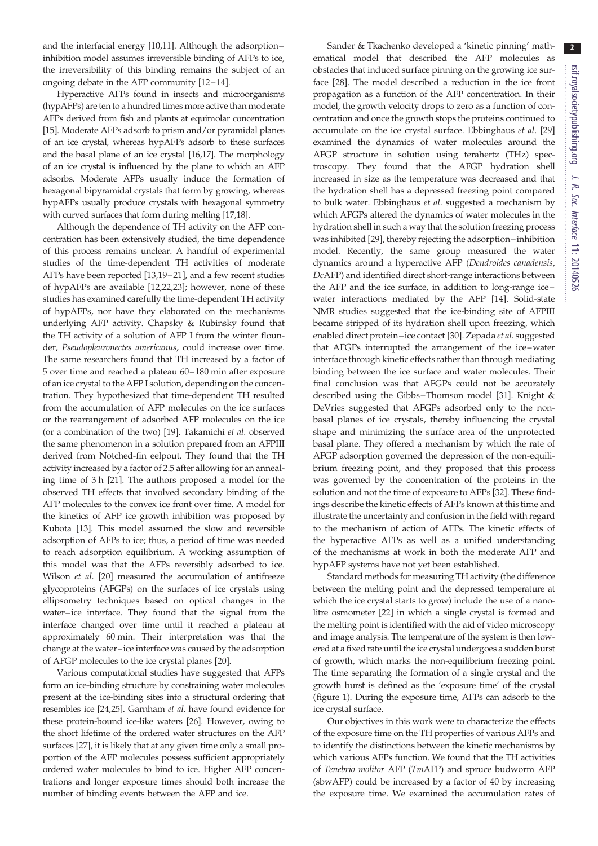and the interfacial energy [\[10](#page-9-0),[11](#page-9-0)]. Although the adsorption– inhibition model assumes irreversible binding of AFPs to ice, the irreversibility of this binding remains the subject of an ongoing debate in the AFP community [\[12](#page-9-0)–[14](#page-9-0)].

Hyperactive AFPs found in insects and microorganisms (hypAFPs) are ten to a hundred times more active than moderate AFPs derived from fish and plants at equimolar concentration [\[15](#page-9-0)]. Moderate AFPs adsorb to prism and/or pyramidal planes of an ice crystal, whereas hypAFPs adsorb to these surfaces and the basal plane of an ice crystal [\[16,17\]](#page-9-0). The morphology of an ice crystal is influenced by the plane to which an AFP adsorbs. Moderate AFPs usually induce the formation of hexagonal bipyramidal crystals that form by growing, whereas hypAFPs usually produce crystals with hexagonal symmetry with curved surfaces that form during melting [[17](#page-9-0)[,18](#page-10-0)].

Although the dependence of TH activity on the AFP concentration has been extensively studied, the time dependence of this process remains unclear. A handful of experimental studies of the time-dependent TH activities of moderate AFPs have been reported [\[13](#page-9-0)[,19](#page-10-0)–[21](#page-10-0)], and a few recent studies of hypAFPs are available [\[12](#page-9-0)[,22,23](#page-10-0)]; however, none of these studies has examined carefully the time-dependent TH activity of hypAFPs, nor have they elaborated on the mechanisms underlying AFP activity. Chapsky & Rubinsky found that the TH activity of a solution of AFP I from the winter flounder, Pseudopleuronectes americanus, could increase over time. The same researchers found that TH increased by a factor of 5 over time and reached a plateau 60–180 min after exposure of an ice crystal to the AFP I solution, depending on the concentration. They hypothesized that time-dependent TH resulted from the accumulation of AFP molecules on the ice surfaces or the rearrangement of adsorbed AFP molecules on the ice (or a combination of the two) [[19\]](#page-10-0). Takamichi et al. observed the same phenomenon in a solution prepared from an AFPIII derived from Notched-fin eelpout. They found that the TH activity increased by a factor of 2.5 after allowing for an annealing time of 3 h [[21\]](#page-10-0). The authors proposed a model for the observed TH effects that involved secondary binding of the AFP molecules to the convex ice front over time. A model for the kinetics of AFP ice growth inhibition was proposed by Kubota [[13\]](#page-9-0). This model assumed the slow and reversible adsorption of AFPs to ice; thus, a period of time was needed to reach adsorption equilibrium. A working assumption of this model was that the AFPs reversibly adsorbed to ice. Wilson et al. [[20\]](#page-10-0) measured the accumulation of antifreeze glycoproteins (AFGPs) on the surfaces of ice crystals using ellipsometry techniques based on optical changes in the water–ice interface. They found that the signal from the interface changed over time until it reached a plateau at approximately 60 min. Their interpretation was that the change at the water–ice interface was caused by the adsorption of AFGP molecules to the ice crystal planes [[20](#page-10-0)].

Various computational studies have suggested that AFPs form an ice-binding structure by constraining water molecules present at the ice-binding sites into a structural ordering that resembles ice [[24,25\]](#page-10-0). Garnham et al. have found evidence for these protein-bound ice-like waters [\[26](#page-10-0)]. However, owing to the short lifetime of the ordered water structures on the AFP surfaces [\[27](#page-10-0)], it is likely that at any given time only a small proportion of the AFP molecules possess sufficient appropriately ordered water molecules to bind to ice. Higher AFP concentrations and longer exposure times should both increase the number of binding events between the AFP and ice.

Sander & Tkachenko developed a 'kinetic pinning' mathematical model that described the AFP molecules as obstacles that induced surface pinning on the growing ice surface [[28\]](#page-10-0). The model described a reduction in the ice front propagation as a function of the AFP concentration. In their model, the growth velocity drops to zero as a function of concentration and once the growth stops the proteins continued to accumulate on the ice crystal surface. Ebbinghaus et al. [[29\]](#page-10-0) examined the dynamics of water molecules around the AFGP structure in solution using terahertz (THz) spectroscopy. They found that the AFGP hydration shell increased in size as the temperature was decreased and that the hydration shell has a depressed freezing point compared to bulk water. Ebbinghaus et al. suggested a mechanism by which AFGPs altered the dynamics of water molecules in the hydration shell in such a way that the solution freezing process was inhibited [\[29](#page-10-0)], thereby rejecting the adsorption –inhibition model. Recently, the same group measured the water dynamics around a hyperactive AFP (Dendroides canadensis, DcAFP) and identified direct short-range interactions between the AFP and the ice surface, in addition to long-range ice– water interactions mediated by the AFP [\[14](#page-9-0)]. Solid-state NMR studies suggested that the ice-binding site of AFPIII became stripped of its hydration shell upon freezing, which enabled direct protein –ice contact [\[30](#page-10-0)]. Zepada et al. suggested that AFGPs interrupted the arrangement of the ice–water interface through kinetic effects rather than through mediating binding between the ice surface and water molecules. Their final conclusion was that AFGPs could not be accurately described using the Gibbs-Thomson model [[31\]](#page-10-0). Knight & DeVries suggested that AFGPs adsorbed only to the nonbasal planes of ice crystals, thereby influencing the crystal shape and minimizing the surface area of the unprotected basal plane. They offered a mechanism by which the rate of AFGP adsorption governed the depression of the non-equilibrium freezing point, and they proposed that this process was governed by the concentration of the proteins in the solution and not the time of exposure to AFPs [\[32](#page-10-0)]. These findings describe the kinetic effects of AFPs known at this time and illustrate the uncertainty and confusion in the field with regard to the mechanism of action of AFPs. The kinetic effects of the hyperactive AFPs as well as a unified understanding of the mechanisms at work in both the moderate AFP and hypAFP systems have not yet been established.

Standard methods for measuring TH activity (the difference between the melting point and the depressed temperature at which the ice crystal starts to grow) include the use of a nanolitre osmometer [\[22\]](#page-10-0) in which a single crystal is formed and the melting point is identified with the aid of video microscopy and image analysis. The temperature of the system is then lowered at a fixed rate until the ice crystal undergoes a sudden burst of growth, which marks the non-equilibrium freezing point. The time separating the formation of a single crystal and the growth burst is defined as the 'exposure time' of the crystal ([figure 1\)](#page-3-0). During the exposure time, AFPs can adsorb to the ice crystal surface.

Our objectives in this work were to characterize the effects of the exposure time on the TH properties of various AFPs and to identify the distinctions between the kinetic mechanisms by which various AFPs function. We found that the TH activities of Tenebrio molitor AFP (TmAFP) and spruce budworm AFP (sbwAFP) could be increased by a factor of 40 by increasing the exposure time. We examined the accumulation rates of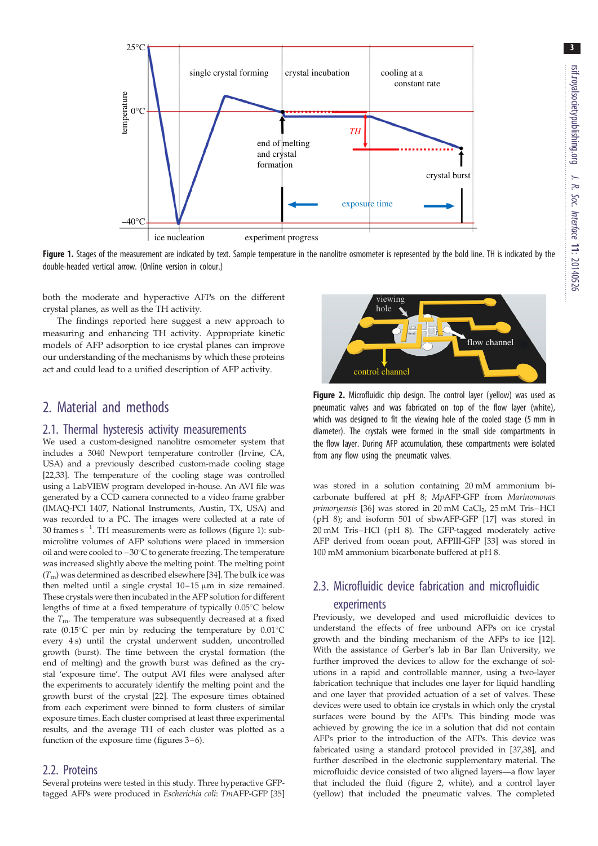<span id="page-3-0"></span>

Figure 1. Stages of the measurement are indicated by text. Sample temperature in the nanolitre osmometer is represented by the bold line. TH is indicated by the double-headed vertical arrow. (Online version in colour.)

both the moderate and hyperactive AFPs on the different crystal planes, as well as the TH activity.

The findings reported here suggest a new approach to measuring and enhancing TH activity. Appropriate kinetic models of AFP adsorption to ice crystal planes can improve our understanding of the mechanisms by which these proteins act and could lead to a unified description of AFP activity.

## 2. Material and methods

#### 2.1. Thermal hysteresis activity measurements

We used a custom-designed nanolitre osmometer system that includes a 3040 Newport temperature controller (Irvine, CA, USA) and a previously described custom-made cooling stage [\[22,33](#page-10-0)]. The temperature of the cooling stage was controlled using a LabVIEW program developed in-house. An AVI file was generated by a CCD camera connected to a video frame grabber (IMAQ-PCI 1407, National Instruments, Austin, TX, USA) and was recorded to a PC. The images were collected at a rate of 30 frames  $s^{-1}$ . TH measurements were as follows (figure 1): submicrolitre volumes of AFP solutions were placed in immersion oil and were cooled to  $-30^{\circ}$ C to generate freezing. The temperature was increased slightly above the melting point. The melting point  $(T<sub>m</sub>)$  was determined as described elsewhere [\[34\]](#page-10-0). The bulk ice was then melted until a single crystal  $10-15 \mu m$  in size remained. These crystals were then incubated in the AFP solution for different lengths of time at a fixed temperature of typically  $0.05^{\circ}$ C below the  $T<sub>m</sub>$ . The temperature was subsequently decreased at a fixed rate (0.15 $^{\circ}$ C per min by reducing the temperature by 0.01 $^{\circ}$ C every 4 s) until the crystal underwent sudden, uncontrolled growth (burst). The time between the crystal formation (the end of melting) and the growth burst was defined as the crystal 'exposure time'. The output AVI files were analysed after the experiments to accurately identify the melting point and the growth burst of the crystal [\[22\]](#page-10-0). The exposure times obtained from each experiment were binned to form clusters of similar exposure times. Each cluster comprised at least three experimental results, and the average TH of each cluster was plotted as a function of the exposure time (figures [3](#page-4-0)–[6](#page-5-0)).

#### 2.2. Proteins

Several proteins were tested in this study. Three hyperactive GFPtagged AFPs were produced in Escherichia coli: TmAFP-GFP [\[35\]](#page-10-0)



Figure 2. Microfluidic chip design. The control layer (yellow) was used as pneumatic valves and was fabricated on top of the flow layer (white), which was designed to fit the viewing hole of the cooled stage (5 mm in diameter). The crystals were formed in the small side compartments in the flow layer. During AFP accumulation, these compartments were isolated from any flow using the pneumatic valves.

was stored in a solution containing 20 mM ammonium bicarbonate buffered at pH 8; MpAFP-GFP from Marinomonas primoryensis [[36](#page-10-0)] was stored in  $20 \text{ mM }$  CaCl<sub>2</sub>,  $25 \text{ mM }$  Tris–HCl (pH 8); and isoform 501 of sbwAFP-GFP [\[17\]](#page-9-0) was stored in 20 mM Tris–HCl (pH 8). The GFP-tagged moderately active AFP derived from ocean pout, AFPIII-GFP [[33](#page-10-0)] was stored in 100 mM ammonium bicarbonate buffered at pH 8.

# 2.3. Microfluidic device fabrication and microfluidic experiments

Previously, we developed and used microfluidic devices to understand the effects of free unbound AFPs on ice crystal growth and the binding mechanism of the AFPs to ice [\[12\]](#page-9-0). With the assistance of Gerber's lab in Bar Ilan University, we further improved the devices to allow for the exchange of solutions in a rapid and controllable manner, using a two-layer fabrication technique that includes one layer for liquid handling and one layer that provided actuation of a set of valves. These devices were used to obtain ice crystals in which only the crystal surfaces were bound by the AFPs. This binding mode was achieved by growing the ice in a solution that did not contain AFPs prior to the introduction of the AFPs. This device was fabricated using a standard protocol provided in [\[37,38](#page-10-0)], and further described in the electronic supplementary material. The microfluidic device consisted of two aligned layers—a flow layer that included the fluid (figure 2, white), and a control layer (yellow) that included the pneumatic valves. The completed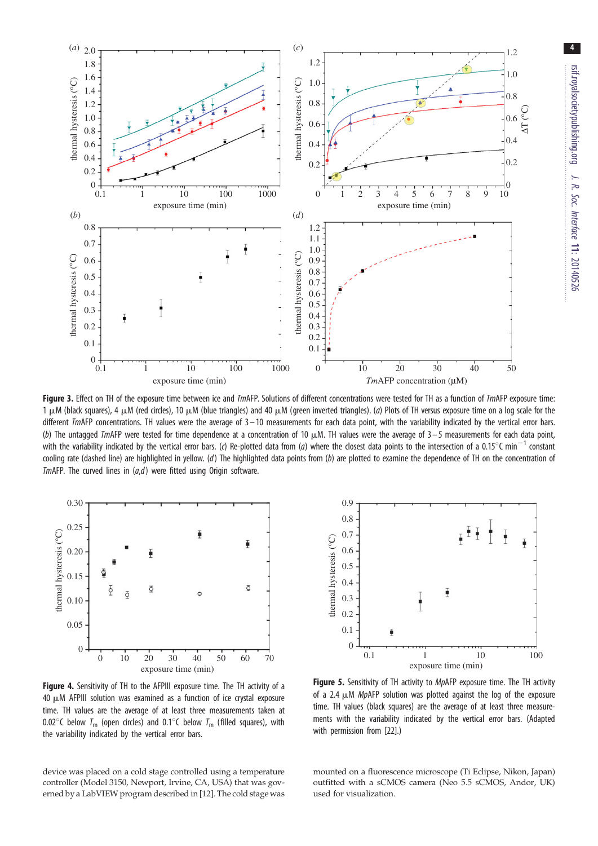<span id="page-4-0"></span>

Figure 3. Effect on TH of the exposure time between ice and TmAFP. Solutions of different concentrations were tested for TH as a function of TmAFP exposure time: 1  $\mu$ M (black squares), 4  $\mu$ M (red circles), 10  $\mu$ M (blue triangles) and 40  $\mu$ M (green inverted triangles). (a) Plots of TH versus exposure time on a log scale for the different  $Im$ AFP concentrations. TH values were the average of  $3 - 10$  measurements for each data point, with the variability indicated by the vertical error bars. (b) The untagged TmAFP were tested for time dependence at a concentration of 10  $\mu$ M. TH values were the average of 3 – 5 measurements for each data point, with the variability indicated by the vertical error bars. (c) Re-plotted data from (a) where the closest data points to the intersection of a 0.15 $^{\circ}$ C min<sup>-1</sup> constant cooling rate (dashed line) are highlighted in yellow. (d) The highlighted data points from (b) are plotted to examine the dependence of TH on the concentration of TmAFP. The curved lines in  $(a,d)$  were fitted using Origin software.



Figure 4. Sensitivity of TH to the AFPIII exposure time. The TH activity of a  $40 \mu$ M AFPIII solution was examined as a function of ice crystal exposure time. TH values are the average of at least three measurements taken at 0.02 $\degree$ C below  $T_m$  (open circles) and 0.1 $\degree$ C below  $T_m$  (filled squares), with the variability indicated by the vertical error bars.

device was placed on a cold stage controlled using a temperature controller (Model 3150, Newport, Irvine, CA, USA) that was governed by a LabVIEW program described in [\[12\]](#page-9-0). The cold stage was



**Figure 5.** Sensitivity of TH activity to *MpAFP* exposure time. The TH activity of a 2.4  $\mu$ M MpAFP solution was plotted against the log of the exposure time. TH values (black squares) are the average of at least three measurements with the variability indicated by the vertical error bars. (Adapted with permission from [\[22\]](#page-10-0).)

mounted on a fluorescence microscope (Ti Eclipse, Nikon, Japan) outfitted with a sCMOS camera (Neo 5.5 sCMOS, Andor, UK) used for visualization.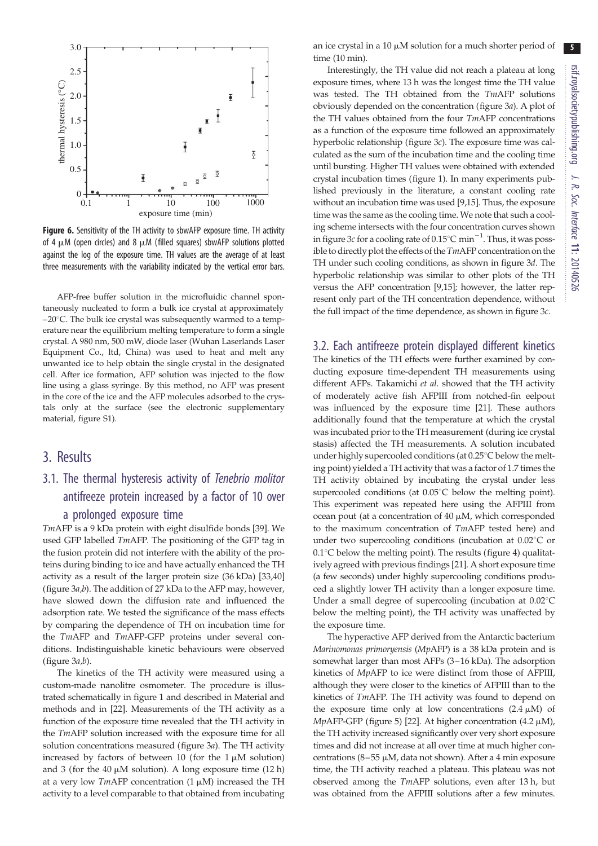<span id="page-5-0"></span>

Figure 6. Sensitivity of the TH activity to sbwAFP exposure time. TH activity of 4  $\mu$ M (open circles) and 8  $\mu$ M (filled squares) sbwAFP solutions plotted against the log of the exposure time. TH values are the average of at least three measurements with the variability indicated by the vertical error bars.

AFP-free buffer solution in the microfluidic channel spontaneously nucleated to form a bulk ice crystal at approximately  $-20^{\circ}$ C. The bulk ice crystal was subsequently warmed to a temperature near the equilibrium melting temperature to form a single crystal. A 980 nm, 500 mW, diode laser (Wuhan Laserlands Laser Equipment Co., ltd, China) was used to heat and melt any unwanted ice to help obtain the single crystal in the designated cell. After ice formation, AFP solution was injected to the flow line using a glass syringe. By this method, no AFP was present in the core of the ice and the AFP molecules adsorbed to the crystals only at the surface (see the electronic supplementary material, figure S1).

#### 3. Results

# 3.1. The thermal hysteresis activity of Tenebrio molitor antifreeze protein increased by a factor of 10 over a prolonged exposure time

TmAFP is a 9 kDa protein with eight disulfide bonds [\[39](#page-10-0)]. We used GFP labelled TmAFP. The positioning of the GFP tag in the fusion protein did not interfere with the ability of the proteins during binding to ice and have actually enhanced the TH activity as a result of the larger protein size (36 kDa) [[33](#page-10-0),[40\]](#page-10-0) [\(figure 3](#page-4-0)a,b). The addition of 27 kDa to the AFP may, however, have slowed down the diffusion rate and influenced the adsorption rate. We tested the significance of the mass effects by comparing the dependence of TH on incubation time for the TmAFP and TmAFP-GFP proteins under several conditions. Indistinguishable kinetic behaviours were observed (figure  $3a,b$ ).

The kinetics of the TH activity were measured using a custom-made nanolitre osmometer. The procedure is illustrated schematically in [figure 1](#page-3-0) and described in Material and methods and in [[22\]](#page-10-0). Measurements of the TH activity as a function of the exposure time revealed that the TH activity in the TmAFP solution increased with the exposure time for all solution concentrations measured ([figure 3](#page-4-0)a). The TH activity increased by factors of between 10 (for the  $1 \mu M$  solution) and 3 (for the 40  $\mu$ M solution). A long exposure time (12 h) at a very low TmAFP concentration (1  $\mu$ M) increased the TH activity to a level comparable to that obtained from incubating an ice crystal in a 10  $\mu$ M solution for a much shorter period of time (10 min).

Interestingly, the TH value did not reach a plateau at long exposure times, where 13 h was the longest time the TH value was tested. The TH obtained from the TmAFP solutions obviously depended on the concentration [\(figure 3](#page-4-0)a). A plot of the TH values obtained from the four TmAFP concentrations as a function of the exposure time followed an approximately hyperbolic relationship [\(figure 3](#page-4-0)c). The exposure time was calculated as the sum of the incubation time and the cooling time until bursting. Higher TH values were obtained with extended crystal incubation times [\(figure 1\)](#page-3-0). In many experiments published previously in the literature, a constant cooling rate without an incubation time was used [\[9,15](#page-9-0)]. Thus, the exposure time was the same as the cooling time. We note that such a cooling scheme intersects with the four concentration curves shown in [figure 3](#page-4-0)c for a cooling rate of  $0.15^{\circ}$ C min<sup>-1</sup>. Thus, it was possible to directly plot the effects of the TmAFP concentration on the TH under such cooling conditions, as shown in [figure 3](#page-4-0)d. The hyperbolic relationship was similar to other plots of the TH versus the AFP concentration [\[9](#page-9-0),[15](#page-9-0)]; however, the latter represent only part of the TH concentration dependence, without the full impact of the time dependence, as shown in [figure 3](#page-4-0)c.

#### 3.2. Each antifreeze protein displayed different kinetics

The kinetics of the TH effects were further examined by conducting exposure time-dependent TH measurements using different AFPs. Takamichi et al. showed that the TH activity of moderately active fish AFPIII from notched-fin eelpout was influenced by the exposure time [\[21](#page-10-0)]. These authors additionally found that the temperature at which the crystal was incubated prior to the TH measurement (during ice crystal stasis) affected the TH measurements. A solution incubated under highly supercooled conditions (at 0.25°C below the melting point) yielded a TH activity that was a factor of 1.7 times the TH activity obtained by incubating the crystal under less supercooled conditions (at  $0.05^{\circ}$ C below the melting point). This experiment was repeated here using the AFPIII from ocean pout (at a concentration of  $40 \mu M$ , which corresponded to the maximum concentration of TmAFP tested here) and under two supercooling conditions (incubation at  $0.02^{\circ}$ C or  $0.1^{\circ}$ C below the melting point). The results [\(figure 4\)](#page-4-0) qualitatively agreed with previous findings [[21](#page-10-0)]. A short exposure time (a few seconds) under highly supercooling conditions produced a slightly lower TH activity than a longer exposure time. Under a small degree of supercooling (incubation at  $0.02^{\circ}$ C) below the melting point), the TH activity was unaffected by the exposure time.

The hyperactive AFP derived from the Antarctic bacterium Marinomonas primoryensis (MpAFP) is a 38 kDa protein and is somewhat larger than most AFPs (3–16 kDa). The adsorption kinetics of MpAFP to ice were distinct from those of AFPIII, although they were closer to the kinetics of AFPIII than to the kinetics of TmAFP. The TH activity was found to depend on the exposure time only at low concentrations  $(2.4 \mu M)$  of MpAFP-GFP ([figure 5](#page-4-0)) [[22\]](#page-10-0). At higher concentration (4.2  $\mu$ M), the TH activity increased significantly over very short exposure times and did not increase at all over time at much higher concentrations  $(8-55 \mu M, \text{data not shown})$ . After a 4 min exposure time, the TH activity reached a plateau. This plateau was not observed among the TmAFP solutions, even after 13 h, but was obtained from the AFPIII solutions after a few minutes.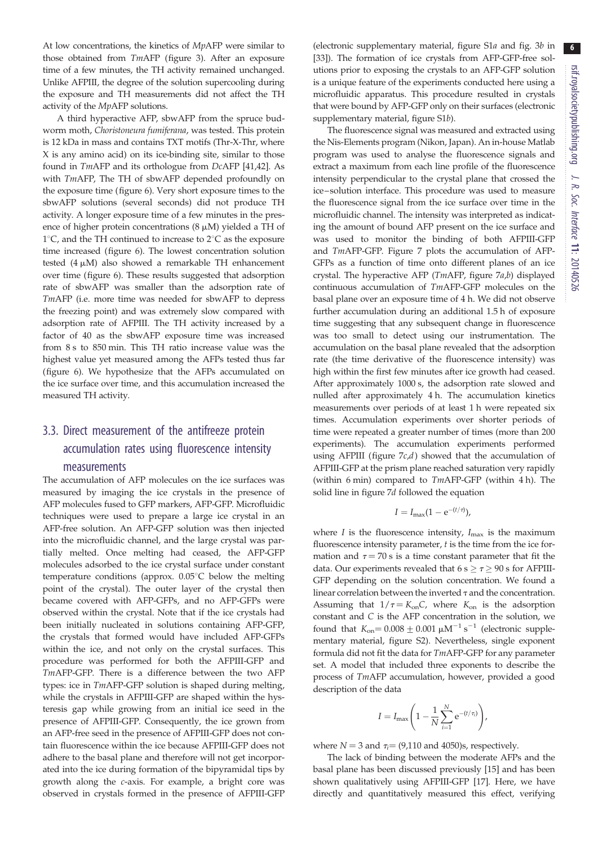At low concentrations, the kinetics of MpAFP were similar to those obtained from TmAFP [\(figure 3\)](#page-4-0). After an exposure time of a few minutes, the TH activity remained unchanged. Unlike AFPIII, the degree of the solution supercooling during the exposure and TH measurements did not affect the TH activity of the MpAFP solutions.

A third hyperactive AFP, sbwAFP from the spruce budworm moth, Choristoneura fumiferana, was tested. This protein is 12 kDa in mass and contains TXT motifs (Thr-X-Thr, where X is any amino acid) on its ice-binding site, similar to those found in TmAFP and its orthologue from DcAFP [[41](#page-10-0),[42\]](#page-10-0). As with TmAFP, The TH of sbwAFP depended profoundly on the exposure time ([figure 6](#page-5-0)). Very short exposure times to the sbwAFP solutions (several seconds) did not produce TH activity. A longer exposure time of a few minutes in the presence of higher protein concentrations  $(8 \mu M)$  yielded a TH of 1°C, and the TH continued to increase to 2°C as the exposure time increased [\(figure 6](#page-5-0)). The lowest concentration solution tested  $(4 \mu M)$  also showed a remarkable TH enhancement over time [\(figure 6\)](#page-5-0). These results suggested that adsorption rate of sbwAFP was smaller than the adsorption rate of TmAFP (i.e. more time was needed for sbwAFP to depress the freezing point) and was extremely slow compared with adsorption rate of AFPIII. The TH activity increased by a factor of 40 as the sbwAFP exposure time was increased from 8 s to 850 min. This TH ratio increase value was the highest value yet measured among the AFPs tested thus far [\(figure 6](#page-5-0)). We hypothesize that the AFPs accumulated on the ice surface over time, and this accumulation increased the measured TH activity.

# 3.3. Direct measurement of the antifreeze protein accumulation rates using fluorescence intensity measurements

The accumulation of AFP molecules on the ice surfaces was measured by imaging the ice crystals in the presence of AFP molecules fused to GFP markers, AFP-GFP. Microfluidic techniques were used to prepare a large ice crystal in an AFP-free solution. An AFP-GFP solution was then injected into the microfluidic channel, and the large crystal was partially melted. Once melting had ceased, the AFP-GFP molecules adsorbed to the ice crystal surface under constant temperature conditions (approx.  $0.05^{\circ}$ C below the melting point of the crystal). The outer layer of the crystal then became covered with AFP-GFPs, and no AFP-GFPs were observed within the crystal. Note that if the ice crystals had been initially nucleated in solutions containing AFP-GFP, the crystals that formed would have included AFP-GFPs within the ice, and not only on the crystal surfaces. This procedure was performed for both the AFPIII-GFP and TmAFP-GFP. There is a difference between the two AFP types: ice in TmAFP-GFP solution is shaped during melting, while the crystals in AFPIII-GFP are shaped within the hysteresis gap while growing from an initial ice seed in the presence of AFPIII-GFP. Consequently, the ice grown from an AFP-free seed in the presence of AFPIII-GFP does not contain fluorescence within the ice because AFPIII-GFP does not adhere to the basal plane and therefore will not get incorporated into the ice during formation of the bipyramidal tips by growth along the c-axis. For example, a bright core was observed in crystals formed in the presence of AFPIII-GFP (electronic supplementary material, figure S1a and fig. 3b in [[33\]](#page-10-0)). The formation of ice crystals from AFP-GFP-free solutions prior to exposing the crystals to an AFP-GFP solution is a unique feature of the experiments conducted here using a microfluidic apparatus. This procedure resulted in crystals that were bound by AFP-GFP only on their surfaces (electronic supplementary material, figure S1b).

The fluorescence signal was measured and extracted using the Nis-Elements program (Nikon, Japan). An in-house Matlab program was used to analyse the fluorescence signals and extract a maximum from each line profile of the fluorescence intensity perpendicular to the crystal plane that crossed the ice–solution interface. This procedure was used to measure the fluorescence signal from the ice surface over time in the microfluidic channel. The intensity was interpreted as indicating the amount of bound AFP present on the ice surface and was used to monitor the binding of both AFPIII-GFP and TmAFP-GFP. [Figure 7](#page-7-0) plots the accumulation of AFP-GFPs as a function of time onto different planes of an ice crystal. The hyperactive AFP (TmAFP, [figure 7](#page-7-0)a,b) displayed continuous accumulation of TmAFP-GFP molecules on the basal plane over an exposure time of 4 h. We did not observe further accumulation during an additional 1.5 h of exposure time suggesting that any subsequent change in fluorescence was too small to detect using our instrumentation. The accumulation on the basal plane revealed that the adsorption rate (the time derivative of the fluorescence intensity) was high within the first few minutes after ice growth had ceased. After approximately 1000 s, the adsorption rate slowed and nulled after approximately 4 h. The accumulation kinetics measurements over periods of at least 1 h were repeated six times. Accumulation experiments over shorter periods of time were repeated a greater number of times (more than 200 experiments). The accumulation experiments performed using AFPIII (figure  $7c,d$ ) showed that the accumulation of AFPIII-GFP at the prism plane reached saturation very rapidly (within 6 min) compared to TmAFP-GFP (within 4 h). The solid line in [figure 7](#page-7-0)d followed the equation

$$
I=I_{\max}(1-e^{-(t/\tau)}),
$$

where  $I$  is the fluorescence intensity,  $I_{\text{max}}$  is the maximum fluorescence intensity parameter,  $t$  is the time from the ice formation and  $\tau = 70$  s is a time constant parameter that fit the data. Our experiments revealed that  $6 s \ge \tau \ge 90 s$  for AFPIII-GFP depending on the solution concentration. We found a linear correlation between the inverted  $\tau$  and the concentration. Assuming that  $1/\tau = K_{on}C$ , where  $K_{on}$  is the adsorption constant and C is the AFP concentration in the solution, we found that  $K_{\text{on}} = 0.008 \pm 0.001 \ \mu \text{M}^{-1} \text{ s}^{-1}$  (electronic supplementary material, figure S2). Nevertheless, single exponent formula did not fit the data for TmAFP-GFP for any parameter set. A model that included three exponents to describe the process of TmAFP accumulation, however, provided a good description of the data

$$
I = I_{\max}\left(1 - \frac{1}{N}\sum_{i=1}^{N} e^{-(t/\tau_i)}\right),
$$

where  $N = 3$  and  $\tau_i = (9,110 \text{ and } 4050)$ s, respectively.

The lack of binding between the moderate AFPs and the basal plane has been discussed previously [\[15](#page-9-0)] and has been shown qualitatively using AFPIII-GFP [\[17](#page-9-0)]. Here, we have directly and quantitatively measured this effect, verifying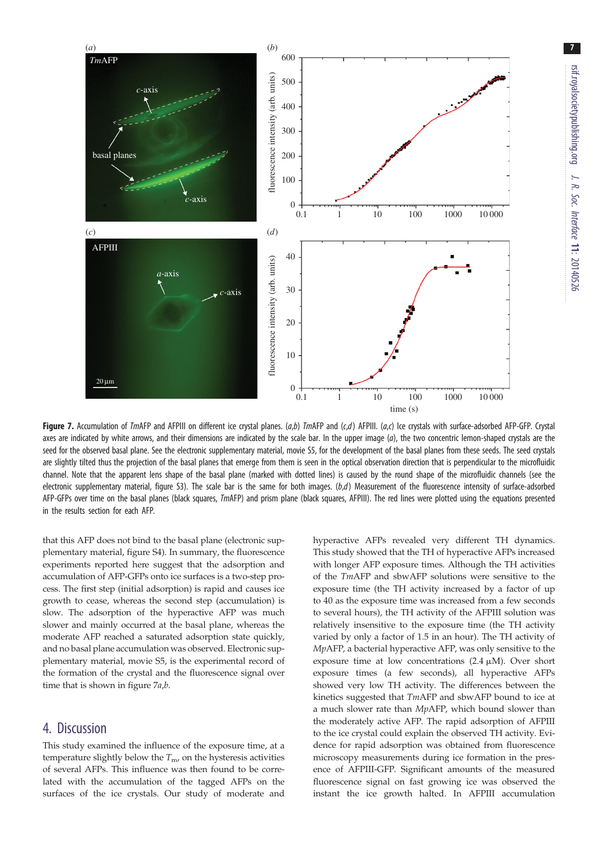<span id="page-7-0"></span>

Figure 7. Accumulation of TmAFP and AFPIII on different ice crystal planes.  $(a,b)$  TmAFP and  $(c,d)$  AFPIII.  $(a,c)$  Ice crystals with surface-adsorbed AFP-GFP. Crystal axes are indicated by white arrows, and their dimensions are indicated by the scale bar. In the upper image  $(a)$ , the two concentric lemon-shaped crystals are the seed for the observed basal plane. See the electronic supplementary material, movie S5, for the development of the basal planes from these seeds. The seed crystals are slightly tilted thus the projection of the basal planes that emerge from them is seen in the optical observation direction that is perpendicular to the microfluidic channel. Note that the apparent lens shape of the basal plane (marked with dotted lines) is caused by the round shape of the microfluidic channels (see the electronic supplementary material, figure S3). The scale bar is the same for both images.  $(b,d)$  Measurement of the fluorescence intensity of surface-adsorbed AFP-GFPs over time on the basal planes (black squares, TmAFP) and prism plane (black squares, AFPIII). The red lines were plotted using the equations presented in the results section for each AFP.

that this AFP does not bind to the basal plane (electronic supplementary material, figure S4). In summary, the fluorescence experiments reported here suggest that the adsorption and accumulation of AFP-GFPs onto ice surfaces is a two-step process. The first step (initial adsorption) is rapid and causes ice growth to cease, whereas the second step (accumulation) is slow. The adsorption of the hyperactive AFP was much slower and mainly occurred at the basal plane, whereas the moderate AFP reached a saturated adsorption state quickly, and no basal plane accumulation was observed. Electronic supplementary material, movie S5, is the experimental record of the formation of the crystal and the fluorescence signal over time that is shown in figure 7a,b.

#### 4. Discussion

This study examined the influence of the exposure time, at a temperature slightly below the  $T_{\text{m}}$ , on the hysteresis activities of several AFPs. This influence was then found to be correlated with the accumulation of the tagged AFPs on the surfaces of the ice crystals. Our study of moderate and hyperactive AFPs revealed very different TH dynamics. This study showed that the TH of hyperactive AFPs increased with longer AFP exposure times. Although the TH activities of the TmAFP and sbwAFP solutions were sensitive to the exposure time (the TH activity increased by a factor of up to 40 as the exposure time was increased from a few seconds to several hours), the TH activity of the AFPIII solution was relatively insensitive to the exposure time (the TH activity varied by only a factor of 1.5 in an hour). The TH activity of MpAFP, a bacterial hyperactive AFP, was only sensitive to the exposure time at low concentrations  $(2.4 \mu M)$ . Over short exposure times (a few seconds), all hyperactive AFPs showed very low TH activity. The differences between the kinetics suggested that TmAFP and sbwAFP bound to ice at a much slower rate than MpAFP, which bound slower than the moderately active AFP. The rapid adsorption of AFPIII to the ice crystal could explain the observed TH activity. Evidence for rapid adsorption was obtained from fluorescence microscopy measurements during ice formation in the presence of AFPIII-GFP. Significant amounts of the measured fluorescence signal on fast growing ice was observed the instant the ice growth halted. In AFPIII accumulation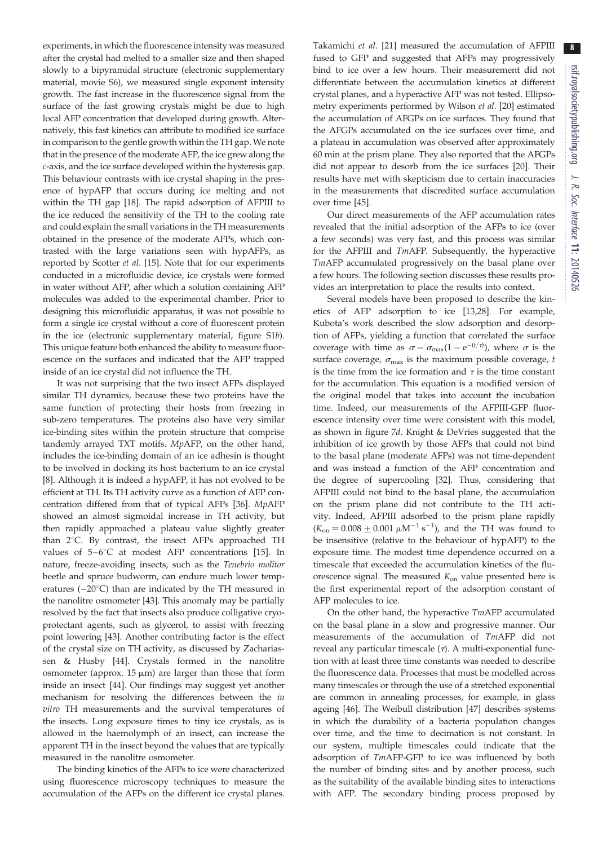experiments, in which the fluorescence intensity was measured after the crystal had melted to a smaller size and then shaped slowly to a bipyramidal structure (electronic supplementary material, movie S6), we measured single exponent intensity growth. The fast increase in the fluorescence signal from the surface of the fast growing crystals might be due to high local AFP concentration that developed during growth. Alternatively, this fast kinetics can attribute to modified ice surface in comparison to the gentle growth within the TH gap. We note that in the presence of the moderate AFP, the ice grew along the c-axis, and the ice surface developed within the hysteresis gap. This behaviour contrasts with ice crystal shaping in the presence of hypAFP that occurs during ice melting and not within the TH gap [\[18](#page-10-0)]. The rapid adsorption of AFPIII to the ice reduced the sensitivity of the TH to the cooling rate and could explain the small variations in the TH measurements obtained in the presence of the moderate AFPs, which contrasted with the large variations seen with hypAFPs, as reported by Scotter et al. [[15](#page-9-0)]. Note that for our experiments conducted in a microfluidic device, ice crystals were formed in water without AFP, after which a solution containing AFP molecules was added to the experimental chamber. Prior to designing this microfluidic apparatus, it was not possible to form a single ice crystal without a core of fluorescent protein in the ice (electronic supplementary material, figure S1b). This unique feature both enhanced the ability to measure fluorescence on the surfaces and indicated that the AFP trapped inside of an ice crystal did not influence the TH.

It was not surprising that the two insect AFPs displayed similar TH dynamics, because these two proteins have the same function of protecting their hosts from freezing in sub-zero temperatures. The proteins also have very similar ice-binding sites within the protein structure that comprise tandemly arrayed TXT motifs. MpAFP, on the other hand, includes the ice-binding domain of an ice adhesin is thought to be involved in docking its host bacterium to an ice crystal [\[8\]](#page-9-0). Although it is indeed a hypAFP, it has not evolved to be efficient at TH. Its TH activity curve as a function of AFP concentration differed from that of typical AFPs [[36\]](#page-10-0). MpAFP showed an almost sigmoidal increase in TH activity, but then rapidly approached a plateau value slightly greater than  $2^{\circ}$ C. By contrast, the insect AFPs approached TH values of  $5-6^{\circ}$ C at modest AFP concentrations [\[15](#page-9-0)]. In nature, freeze-avoiding insects, such as the Tenebrio molitor beetle and spruce budworm, can endure much lower temperatures  $(-20^{\circ}C)$  than are indicated by the TH measured in the nanolitre osmometer [[43\]](#page-10-0). This anomaly may be partially resolved by the fact that insects also produce colligative cryoprotectant agents, such as glycerol, to assist with freezing point lowering [\[43](#page-10-0)]. Another contributing factor is the effect of the crystal size on TH activity, as discussed by Zachariassen & Husby [\[44](#page-10-0)]. Crystals formed in the nanolitre osmometer (approx.  $15 \mu m$ ) are larger than those that form inside an insect [[44\]](#page-10-0). Our findings may suggest yet another mechanism for resolving the differences between the in vitro TH measurements and the survival temperatures of the insects. Long exposure times to tiny ice crystals, as is allowed in the haemolymph of an insect, can increase the apparent TH in the insect beyond the values that are typically measured in the nanolitre osmometer.

The binding kinetics of the AFPs to ice were characterized using fluorescence microscopy techniques to measure the accumulation of the AFPs on the different ice crystal planes. Takamichi et al. [[21\]](#page-10-0) measured the accumulation of AFPIII fused to GFP and suggested that AFPs may progressively bind to ice over a few hours. Their measurement did not differentiate between the accumulation kinetics at different crystal planes, and a hyperactive AFP was not tested. Ellipsometry experiments performed by Wilson et al. [\[20](#page-10-0)] estimated the accumulation of AFGPs on ice surfaces. They found that the AFGPs accumulated on the ice surfaces over time, and a plateau in accumulation was observed after approximately 60 min at the prism plane. They also reported that the AFGPs did not appear to desorb from the ice surfaces [[20\]](#page-10-0). Their results have met with skepticism due to certain inaccuracies in the measurements that discredited surface accumulation over time [\[45](#page-10-0)].

Our direct measurements of the AFP accumulation rates revealed that the initial adsorption of the AFPs to ice (over a few seconds) was very fast, and this process was similar for the AFPIII and TmAFP. Subsequently, the hyperactive TmAFP accumulated progressively on the basal plane over a few hours. The following section discusses these results provides an interpretation to place the results into context.

Several models have been proposed to describe the kinetics of AFP adsorption to ice [[13](#page-9-0)[,28](#page-10-0)]. For example, Kubota's work described the slow adsorption and desorption of AFPs, yielding a function that correlated the surface coverage with time as  $\sigma = \sigma_{\text{max}}(1 - e^{-(t/\tau)})$ , where  $\sigma$  is the surface coverage,  $\sigma_{\text{max}}$  is the maximum possible coverage, t is the time from the ice formation and  $\tau$  is the time constant for the accumulation. This equation is a modified version of the original model that takes into account the incubation time. Indeed, our measurements of the AFPIII-GFP fluorescence intensity over time were consistent with this model, as shown in [figure 7](#page-7-0)d. Knight & DeVries suggested that the inhibition of ice growth by those AFPs that could not bind to the basal plane (moderate AFPs) was not time-dependent and was instead a function of the AFP concentration and the degree of supercooling [[32\]](#page-10-0). Thus, considering that AFPIII could not bind to the basal plane, the accumulation on the prism plane did not contribute to the TH activity. Indeed, AFPIII adsorbed to the prism plane rapidly  $(K_{\text{on}} = 0.008 \pm 0.001 \mu M^{-1} s^{-1})$ , and the TH was found to be insensitive (relative to the behaviour of hypAFP) to the exposure time. The modest time dependence occurred on a timescale that exceeded the accumulation kinetics of the fluorescence signal. The measured  $K_{on}$  value presented here is the first experimental report of the adsorption constant of AFP molecules to ice.

On the other hand, the hyperactive TmAFP accumulated on the basal plane in a slow and progressive manner. Our measurements of the accumulation of TmAFP did not reveal any particular timescale  $(\tau)$ . A multi-exponential function with at least three time constants was needed to describe the fluorescence data. Processes that must be modelled across many timescales or through the use of a stretched exponential are common in annealing processes, for example, in glass ageing [\[46](#page-10-0)]. The Weibull distribution [\[47](#page-10-0)] describes systems in which the durability of a bacteria population changes over time, and the time to decimation is not constant. In our system, multiple timescales could indicate that the adsorption of TmAFP-GFP to ice was influenced by both the number of binding sites and by another process, such as the suitability of the available binding sites to interactions with AFP. The secondary binding process proposed by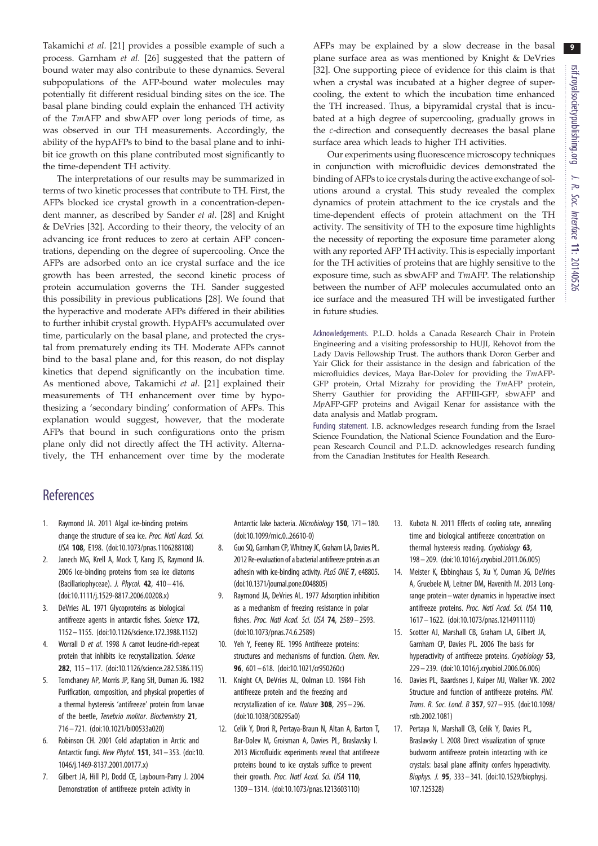9

<span id="page-9-0"></span>Takamichi et al. [\[21](#page-10-0)] provides a possible example of such a process. Garnham et al. [[26\]](#page-10-0) suggested that the pattern of bound water may also contribute to these dynamics. Several subpopulations of the AFP-bound water molecules may potentially fit different residual binding sites on the ice. The basal plane binding could explain the enhanced TH activity of the TmAFP and sbwAFP over long periods of time, as was observed in our TH measurements. Accordingly, the ability of the hypAFPs to bind to the basal plane and to inhibit ice growth on this plane contributed most significantly to the time-dependent TH activity.

The interpretations of our results may be summarized in terms of two kinetic processes that contribute to TH. First, the AFPs blocked ice crystal growth in a concentration-dependent manner, as described by Sander et al. [\[28](#page-10-0)] and Knight & DeVries [[32\]](#page-10-0). According to their theory, the velocity of an advancing ice front reduces to zero at certain AFP concentrations, depending on the degree of supercooling. Once the AFPs are adsorbed onto an ice crystal surface and the ice growth has been arrested, the second kinetic process of protein accumulation governs the TH. Sander suggested this possibility in previous publications [\[28](#page-10-0)]. We found that the hyperactive and moderate AFPs differed in their abilities to further inhibit crystal growth. HypAFPs accumulated over time, particularly on the basal plane, and protected the crystal from prematurely ending its TH. Moderate AFPs cannot bind to the basal plane and, for this reason, do not display kinetics that depend significantly on the incubation time. As mentioned above, Takamichi et al. [\[21](#page-10-0)] explained their measurements of TH enhancement over time by hypothesizing a 'secondary binding' conformation of AFPs. This explanation would suggest, however, that the moderate AFPs that bound in such configurations onto the prism plane only did not directly affect the TH activity. Alternatively, the TH enhancement over time by the moderate AFPs may be explained by a slow decrease in the basal plane surface area as was mentioned by Knight & DeVries [[32\]](#page-10-0). One supporting piece of evidence for this claim is that when a crystal was incubated at a higher degree of supercooling, the extent to which the incubation time enhanced the TH increased. Thus, a bipyramidal crystal that is incubated at a high degree of supercooling, gradually grows in the c-direction and consequently decreases the basal plane surface area which leads to higher TH activities.

Our experiments using fluorescence microscopy techniques in conjunction with microfluidic devices demonstrated the binding of AFPs to ice crystals during the active exchange of solutions around a crystal. This study revealed the complex dynamics of protein attachment to the ice crystals and the time-dependent effects of protein attachment on the TH activity. The sensitivity of TH to the exposure time highlights the necessity of reporting the exposure time parameter along with any reported AFP TH activity. This is especially important for the TH activities of proteins that are highly sensitive to the exposure time, such as sbwAFP and TmAFP. The relationship between the number of AFP molecules accumulated onto an ice surface and the measured TH will be investigated further in future studies.

Acknowledgements. P.L.D. holds a Canada Research Chair in Protein Engineering and a visiting professorship to HUJI, Rehovot from the Lady Davis Fellowship Trust. The authors thank Doron Gerber and Yair Glick for their assistance in the design and fabrication of the microfluidics devices, Maya Bar-Dolev for providing the TmAFP-GFP protein, Ortal Mizrahy for providing the TmAFP protein, Sherry Gauthier for providing the AFPIII-GFP, sbwAFP and MpAFP-GFP proteins and Avigail Kenar for assistance with the data analysis and Matlab program.

Funding statement. I.B. acknowledges research funding from the Israel Science Foundation, the National Science Foundation and the European Research Council and P.L.D. acknowledges research funding from the Canadian Institutes for Health Research.

## **References**

- 1. Raymond JA. 2011 Algal ice-binding proteins change the structure of sea ice. Proc. Natl Acad. Sci. USA 108, E198. ([doi:10.1073/pnas.1106288108\)](http://dx.doi.org/10.1073/pnas.1106288108)
- 2. Janech MG, Krell A, Mock T, Kang JS, Raymond JA. 2006 Ice-binding proteins from sea ice diatoms (Bacillariophyceae). J. Phycol. 42, 410– 416. [\(doi:10.1111/j.1529-8817.2006.00208.x](http://dx.doi.org/10.1111/j.1529-8817.2006.00208.x))
- 3. DeVries AL. 1971 Glycoproteins as biological antifreeze agents in antarctic fishes. Science 172, 1152 – 1155. [\(doi:10.1126/science.172.3988.1152](http://dx.doi.org/10.1126/science.172.3988.1152))
- 4. Worrall D et al. 1998 A carrot leucine-rich-repeat protein that inhibits ice recrystallization. Science 282, 115– 117. [\(doi:10.1126/science.282.5386.115](http://dx.doi.org/10.1126/science.282.5386.115))
- 5. Tomchaney AP, Morris JP, Kang SH, Duman JG. 1982 Purification, composition, and physical properties of a thermal hysteresis 'antifreeze' protein from larvae of the beetle, Tenebrio molitor. Biochemistry 21, 716– 721. ([doi:10.1021/bi00533a020](http://dx.doi.org/10.1021/bi00533a020))
- 6. Robinson CH. 2001 Cold adaptation in Arctic and Antarctic fungi. New Phytol. 151, 341 – 353. ([doi:10.](http://dx.doi.org/10.1046/j.1469-8137.2001.00177.x) [1046/j.1469-8137.2001.00177.x](http://dx.doi.org/10.1046/j.1469-8137.2001.00177.x))
- 7. Gilbert JA, Hill PJ, Dodd CE, Laybourn-Parry J. 2004 Demonstration of antifreeze protein activity in

Antarctic lake bacteria. Microbiology 150, 171– 180. [\(doi:10.1099/mic.0..26610-0\)](http://dx.doi.org/10.1099/mic.0..26610-0)

- 8. Guo SQ, Garnham CP, Whitney JC, Graham LA, Davies PL. 2012 Re-evaluation of a bacterial antifreeze protein as an adhesin with ice-binding activity. PLoS ONE 7, e48805. [\(doi:10.1371/journal.pone.0048805\)](http://dx.doi.org/10.1371/journal.pone.0048805)
- 9. Raymond JA, DeVries AL. 1977 Adsorption inhibition as a mechanism of freezing resistance in polar fishes. Proc. Natl Acad. Sci. USA 74, 2589 – 2593. [\(doi:10.1073/pnas.74.6.2589](http://dx.doi.org/10.1073/pnas.74.6.2589))
- 10. Yeh Y, Feeney RE. 1996 Antifreeze proteins: structures and mechanisms of function. Chem. Rev. 96, 601– 618. ([doi:10.1021/cr950260c\)](http://dx.doi.org/10.1021/cr950260c)
- 11. Knight CA, DeVries AL, Oolman LD. 1984 Fish antifreeze protein and the freezing and recrystallization of ice. Nature 308, 295 – 296. [\(doi:10.1038/308295a0\)](http://dx.doi.org/10.1038/308295a0)
- 12. Celik Y, Drori R, Pertaya-Braun N, Altan A, Barton T, Bar-Dolev M, Groisman A, Davies PL, Braslavsky I. 2013 Microfluidic experiments reveal that antifreeze proteins bound to ice crystals suffice to prevent their growth. Proc. Natl Acad. Sci. USA 110, 1309– 1314. [\(doi:10.1073/pnas.1213603110\)](http://dx.doi.org/10.1073/pnas.1213603110)
- 13. Kubota N. 2011 Effects of cooling rate, annealing time and biological antifreeze concentration on thermal hysteresis reading. Cryobiology 63, 198– 209. [\(doi:10.1016/j.cryobiol.2011.06.005\)](http://dx.doi.org/10.1016/j.cryobiol.2011.06.005)
- 14. Meister K, Ebbinghaus S, Xu Y, Duman JG, DeVries A, Gruebele M, Leitner DM, Havenith M. 2013 Longrange protein–water dynamics in hyperactive insect antifreeze proteins. Proc. Natl Acad. Sci. USA 110, 1617– 1622. ([doi:10.1073/pnas.1214911110\)](http://dx.doi.org/10.1073/pnas.1214911110)
- 15. Scotter AJ, Marshall CB, Graham LA, Gilbert JA, Garnham CP, Davies PL. 2006 The basis for hyperactivity of antifreeze proteins. Cryobiology 53, 229– 239. [\(doi:10.1016/j.cryobiol.2006.06.006\)](http://dx.doi.org/10.1016/j.cryobiol.2006.06.006)
- 16. Davies PL, Baardsnes J, Kuiper MJ, Walker VK. 2002 Structure and function of antifreeze proteins. Phil. Trans. R. Soc. Lond. B 357, 927– 935. [\(doi:10.1098/](http://dx.doi.org/10.1098/rstb.2002.1081) [rstb.2002.1081](http://dx.doi.org/10.1098/rstb.2002.1081))
- 17. Pertaya N, Marshall CB, Celik Y, Davies PL, Braslavsky I. 2008 Direct visualization of spruce budworm antifreeze protein interacting with ice crystals: basal plane affinity confers hyperactivity. Biophys. J. 95, 333– 341. ([doi:10.1529/biophysj.](http://dx.doi.org/10.1529/biophysj.107.125328) [107.125328\)](http://dx.doi.org/10.1529/biophysj.107.125328)